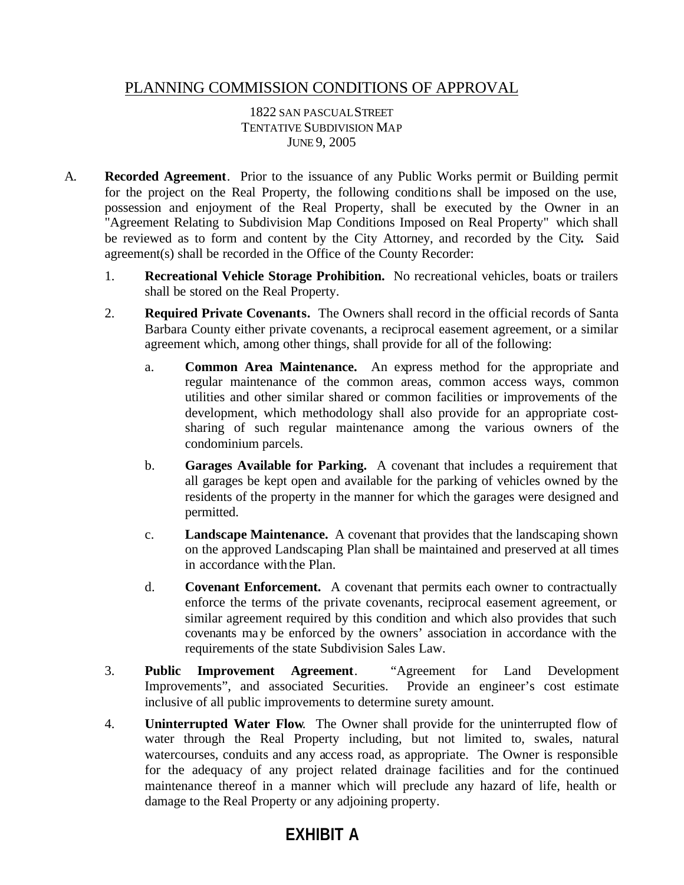## PLANNING COMMISSION CONDITIONS OF APPROVAL

## 1822 SAN PASCUALSTREET TENTATIVE SUBDIVISION MAP JUNE 9, 2005

- A. **Recorded Agreement**. Prior to the issuance of any Public Works permit or Building permit for the project on the Real Property, the following conditions shall be imposed on the use, possession and enjoyment of the Real Property, shall be executed by the Owner in an "Agreement Relating to Subdivision Map Conditions Imposed on Real Property" which shall be reviewed as to form and content by the City Attorney, and recorded by the City**.** Said agreement(s) shall be recorded in the Office of the County Recorder:
	- 1. **Recreational Vehicle Storage Prohibition.** No recreational vehicles, boats or trailers shall be stored on the Real Property.
	- 2. **Required Private Covenants.** The Owners shall record in the official records of Santa Barbara County either private covenants, a reciprocal easement agreement, or a similar agreement which, among other things, shall provide for all of the following:
		- a. **Common Area Maintenance.** An express method for the appropriate and regular maintenance of the common areas, common access ways, common utilities and other similar shared or common facilities or improvements of the development, which methodology shall also provide for an appropriate costsharing of such regular maintenance among the various owners of the condominium parcels.
		- b. **Garages Available for Parking.** A covenant that includes a requirement that all garages be kept open and available for the parking of vehicles owned by the residents of the property in the manner for which the garages were designed and permitted.
		- c. **Landscape Maintenance.** A covenant that provides that the landscaping shown on the approved Landscaping Plan shall be maintained and preserved at all times in accordance with the Plan.
		- d. **Covenant Enforcement.** A covenant that permits each owner to contractually enforce the terms of the private covenants, reciprocal easement agreement, or similar agreement required by this condition and which also provides that such covenants may be enforced by the owners' association in accordance with the requirements of the state Subdivision Sales Law.
	- 3. **Public Improvement Agreement**. "Agreement for Land Development Improvements", and associated Securities. Provide an engineer's cost estimate inclusive of all public improvements to determine surety amount.
	- 4. **Uninterrupted Water Flow**. The Owner shall provide for the uninterrupted flow of water through the Real Property including, but not limited to, swales, natural watercourses, conduits and any access road, as appropriate. The Owner is responsible for the adequacy of any project related drainage facilities and for the continued maintenance thereof in a manner which will preclude any hazard of life, health or damage to the Real Property or any adjoining property.

## **EXHIBIT A**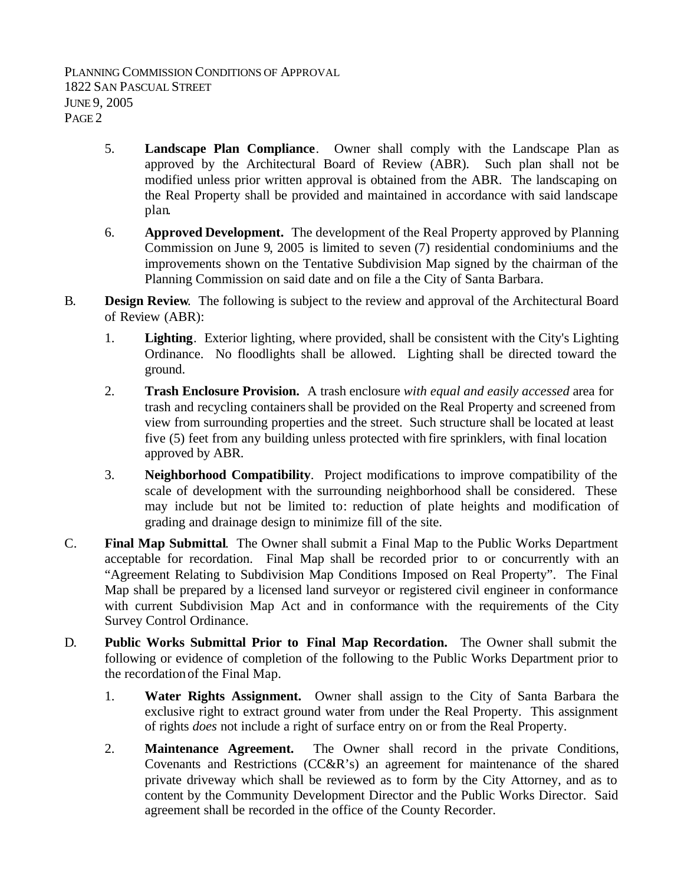- 5. **Landscape Plan Compliance**. Owner shall comply with the Landscape Plan as approved by the Architectural Board of Review (ABR). Such plan shall not be modified unless prior written approval is obtained from the ABR. The landscaping on the Real Property shall be provided and maintained in accordance with said landscape plan.
- 6. **Approved Development.** The development of the Real Property approved by Planning Commission on June 9, 2005 is limited to seven (7) residential condominiums and the improvements shown on the Tentative Subdivision Map signed by the chairman of the Planning Commission on said date and on file a the City of Santa Barbara.
- B. **Design Review**.The following is subject to the review and approval of the Architectural Board of Review (ABR):
	- 1. **Lighting**. Exterior lighting, where provided, shall be consistent with the City's Lighting Ordinance. No floodlights shall be allowed. Lighting shall be directed toward the ground.
	- 2. **Trash Enclosure Provision.** A trash enclosure *with equal and easily accessed* area for trash and recycling containers shall be provided on the Real Property and screened from view from surrounding properties and the street. Such structure shall be located at least five (5) feet from any building unless protected with fire sprinklers, with final location approved by ABR.
	- 3. **Neighborhood Compatibility**. Project modifications to improve compatibility of the scale of development with the surrounding neighborhood shall be considered. These may include but not be limited to: reduction of plate heights and modification of grading and drainage design to minimize fill of the site.
- C. **Final Map Submittal**. The Owner shall submit a Final Map to the Public Works Department acceptable for recordation. Final Map shall be recorded prior to or concurrently with an "Agreement Relating to Subdivision Map Conditions Imposed on Real Property". The Final Map shall be prepared by a licensed land surveyor or registered civil engineer in conformance with current Subdivision Map Act and in conformance with the requirements of the City Survey Control Ordinance.
- D. **Public Works Submittal Prior to Final Map Recordation.** The Owner shall submit the following or evidence of completion of the following to the Public Works Department prior to the recordation of the Final Map.
	- 1. **Water Rights Assignment.** Owner shall assign to the City of Santa Barbara the exclusive right to extract ground water from under the Real Property. This assignment of rights *does* not include a right of surface entry on or from the Real Property.
	- 2. **Maintenance Agreement.** The Owner shall record in the private Conditions, Covenants and Restrictions (CC&R's) an agreement for maintenance of the shared private driveway which shall be reviewed as to form by the City Attorney, and as to content by the Community Development Director and the Public Works Director. Said agreement shall be recorded in the office of the County Recorder.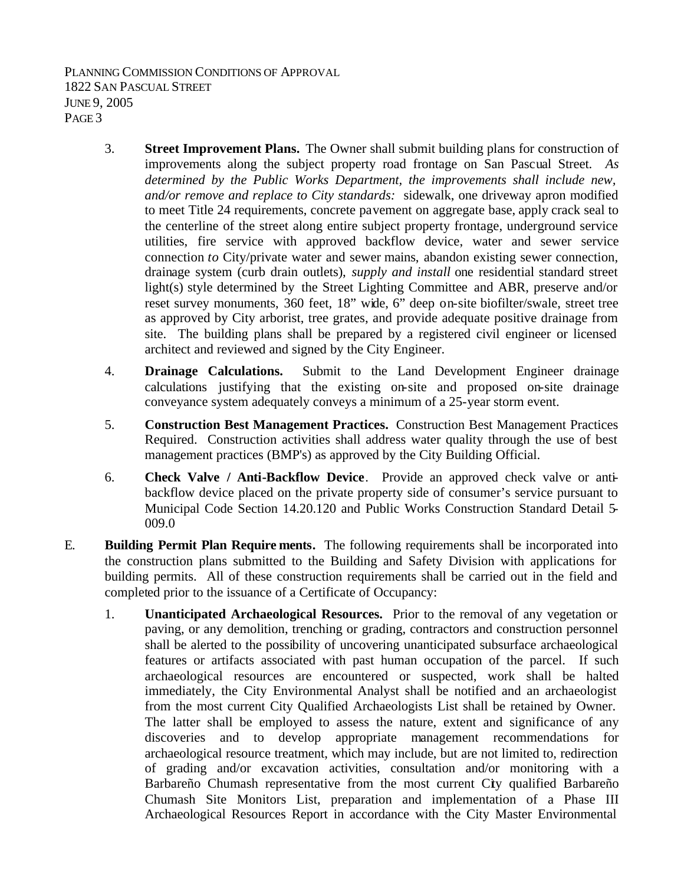PLANNING COMMISSION CONDITIONS OF APPROVAL 1822 SAN PASCUAL STREET JUNE 9, 2005 PAGE 3

- 3. **Street Improvement Plans.** The Owner shall submit building plans for construction of improvements along the subject property road frontage on San Pascual Street. *As determined by the Public Works Department, the improvements shall include new, and/or remove and replace to City standards:* sidewalk, one driveway apron modified to meet Title 24 requirements, concrete pavement on aggregate base, apply crack seal to the centerline of the street along entire subject property frontage, underground service utilities, fire service with approved backflow device, water and sewer service connection *to* City/private water and sewer mains, abandon existing sewer connection, drainage system (curb drain outlets), *supply and install* one residential standard street light(s) style determined by the Street Lighting Committee and ABR, preserve and/or reset survey monuments, 360 feet, 18" wide, 6" deep on-site biofilter/swale, street tree as approved by City arborist, tree grates, and provide adequate positive drainage from site. The building plans shall be prepared by a registered civil engineer or licensed architect and reviewed and signed by the City Engineer.
- 4. **Drainage Calculations.** Submit to the Land Development Engineer drainage calculations justifying that the existing on-site and proposed on-site drainage conveyance system adequately conveys a minimum of a 25-year storm event.
- 5. **Construction Best Management Practices.** Construction Best Management Practices Required. Construction activities shall address water quality through the use of best management practices (BMP's) as approved by the City Building Official.
- 6. **Check Valve / Anti-Backflow Device**. Provide an approved check valve or antibackflow device placed on the private property side of consumer's service pursuant to Municipal Code Section 14.20.120 and Public Works Construction Standard Detail 5- 009.0
- E. **Building Permit Plan Require ments.** The following requirements shall be incorporated into the construction plans submitted to the Building and Safety Division with applications for building permits. All of these construction requirements shall be carried out in the field and completed prior to the issuance of a Certificate of Occupancy:
	- 1. **Unanticipated Archaeological Resources.** Prior to the removal of any vegetation or paving, or any demolition, trenching or grading, contractors and construction personnel shall be alerted to the possibility of uncovering unanticipated subsurface archaeological features or artifacts associated with past human occupation of the parcel. If such archaeological resources are encountered or suspected, work shall be halted immediately, the City Environmental Analyst shall be notified and an archaeologist from the most current City Qualified Archaeologists List shall be retained by Owner. The latter shall be employed to assess the nature, extent and significance of any discoveries and to develop appropriate management recommendations for archaeological resource treatment, which may include, but are not limited to, redirection of grading and/or excavation activities, consultation and/or monitoring with a Barbareño Chumash representative from the most current Cty qualified Barbareño Chumash Site Monitors List, preparation and implementation of a Phase III Archaeological Resources Report in accordance with the City Master Environmental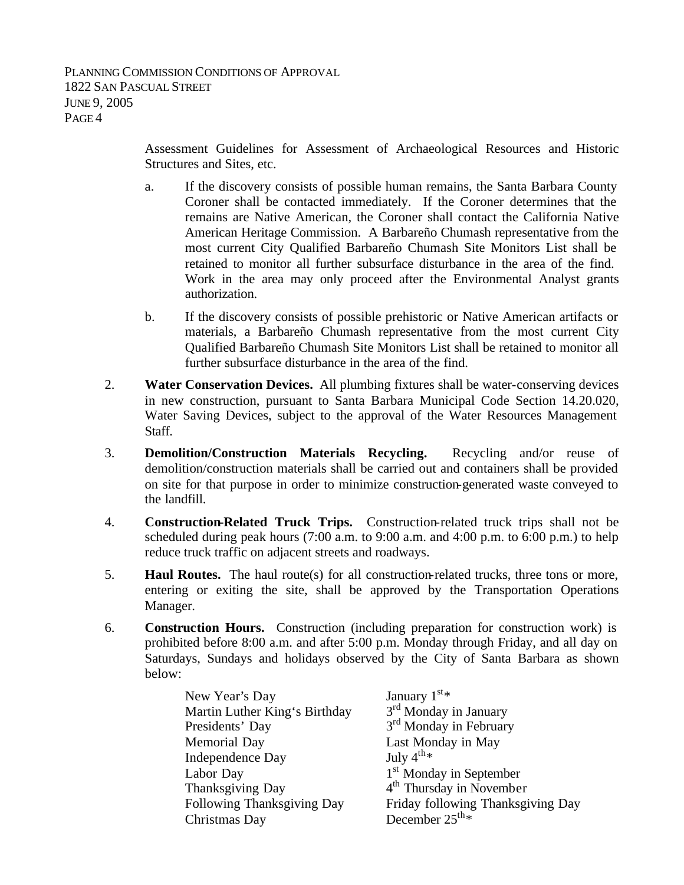Assessment Guidelines for Assessment of Archaeological Resources and Historic Structures and Sites, etc.

- a. If the discovery consists of possible human remains, the Santa Barbara County Coroner shall be contacted immediately. If the Coroner determines that the remains are Native American, the Coroner shall contact the California Native American Heritage Commission. A Barbareño Chumash representative from the most current City Qualified Barbareño Chumash Site Monitors List shall be retained to monitor all further subsurface disturbance in the area of the find. Work in the area may only proceed after the Environmental Analyst grants authorization.
- b. If the discovery consists of possible prehistoric or Native American artifacts or materials, a Barbareño Chumash representative from the most current City Qualified Barbareño Chumash Site Monitors List shall be retained to monitor all further subsurface disturbance in the area of the find.
- 2. **Water Conservation Devices.** All plumbing fixtures shall be water-conserving devices in new construction, pursuant to Santa Barbara Municipal Code Section 14.20.020, Water Saving Devices, subject to the approval of the Water Resources Management Staff.
- 3. **Demolition/Construction Materials Recycling.** Recycling and/or reuse of demolition/construction materials shall be carried out and containers shall be provided on site for that purpose in order to minimize construction-generated waste conveyed to the landfill.
- 4. **Construction-Related Truck Trips.** Construction-related truck trips shall not be scheduled during peak hours (7:00 a.m. to 9:00 a.m. and 4:00 p.m. to 6:00 p.m.) to help reduce truck traffic on adjacent streets and roadways.
- 5. **Haul Routes.** The haul route(s) for all construction-related trucks, three tons or more, entering or exiting the site, shall be approved by the Transportation Operations Manager.
- 6. **Construction Hours.** Construction (including preparation for construction work) is prohibited before 8:00 a.m. and after 5:00 p.m. Monday through Friday, and all day on Saturdays, Sundays and holidays observed by the City of Santa Barbara as shown below:

| New Year's Day                | January $1^{st*}$                   |  |
|-------------------------------|-------------------------------------|--|
| Martin Luther King's Birthday | 3 <sup>rd</sup> Monday in January   |  |
| Presidents' Day               | 3 <sup>rd</sup> Monday in February  |  |
| Memorial Day                  | Last Monday in May                  |  |
| Independence Day              | July $4^{th}$ *                     |  |
| Labor Day                     | 1 <sup>st</sup> Monday in September |  |
| Thanksgiving Day              | $4th$ Thursday in November          |  |
| Following Thanksgiving Day    | Friday following Thanksgiving Day   |  |
| Christmas Day                 | December $25^{\text{th} *}$         |  |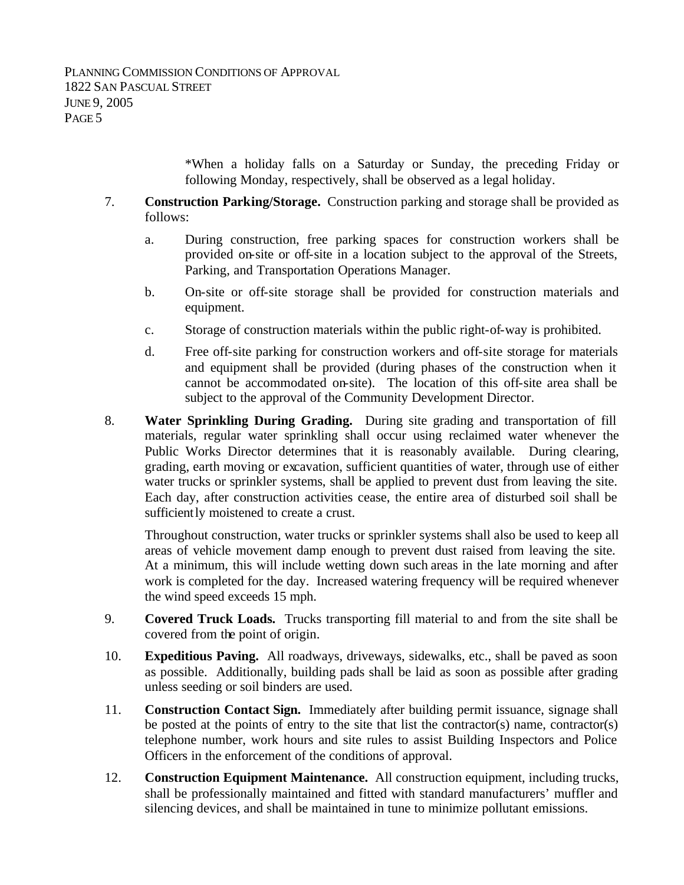\*When a holiday falls on a Saturday or Sunday, the preceding Friday or following Monday, respectively, shall be observed as a legal holiday.

- 7. **Construction Parking/Storage.** Construction parking and storage shall be provided as follows:
	- a. During construction, free parking spaces for construction workers shall be provided on-site or off-site in a location subject to the approval of the Streets, Parking, and Transportation Operations Manager.
	- b. On-site or off-site storage shall be provided for construction materials and equipment.
	- c. Storage of construction materials within the public right-of-way is prohibited.
	- d. Free off-site parking for construction workers and off-site storage for materials and equipment shall be provided (during phases of the construction when it cannot be accommodated on-site). The location of this off-site area shall be subject to the approval of the Community Development Director.
- 8. **Water Sprinkling During Grading.** During site grading and transportation of fill materials, regular water sprinkling shall occur using reclaimed water whenever the Public Works Director determines that it is reasonably available. During clearing, grading, earth moving or excavation, sufficient quantities of water, through use of either water trucks or sprinkler systems, shall be applied to prevent dust from leaving the site. Each day, after construction activities cease, the entire area of disturbed soil shall be sufficiently moistened to create a crust.

Throughout construction, water trucks or sprinkler systems shall also be used to keep all areas of vehicle movement damp enough to prevent dust raised from leaving the site. At a minimum, this will include wetting down such areas in the late morning and after work is completed for the day. Increased watering frequency will be required whenever the wind speed exceeds 15 mph.

- 9. **Covered Truck Loads.** Trucks transporting fill material to and from the site shall be covered from the point of origin.
- 10. **Expeditious Paving.** All roadways, driveways, sidewalks, etc., shall be paved as soon as possible. Additionally, building pads shall be laid as soon as possible after grading unless seeding or soil binders are used.
- 11. **Construction Contact Sign.** Immediately after building permit issuance, signage shall be posted at the points of entry to the site that list the contractor(s) name, contractor(s) telephone number, work hours and site rules to assist Building Inspectors and Police Officers in the enforcement of the conditions of approval.
- 12. **Construction Equipment Maintenance.** All construction equipment, including trucks, shall be professionally maintained and fitted with standard manufacturers' muffler and silencing devices, and shall be maintained in tune to minimize pollutant emissions.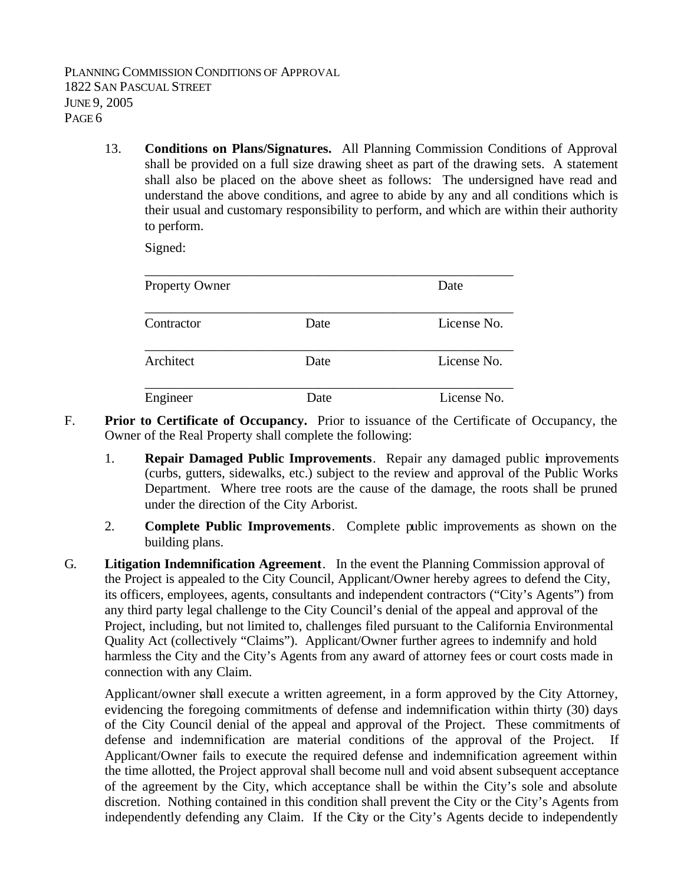13. **Conditions on Plans/Signatures.** All Planning Commission Conditions of Approval shall be provided on a full size drawing sheet as part of the drawing sets. A statement shall also be placed on the above sheet as follows: The undersigned have read and understand the above conditions, and agree to abide by any and all conditions which is their usual and customary responsibility to perform, and which are within their authority to perform.

Signed:

| <b>Property Owner</b> |      | Date        |
|-----------------------|------|-------------|
|                       |      |             |
| Contractor            | Date | License No. |
|                       |      |             |
| Architect             | Date | License No. |
|                       |      |             |
| Engineer              | Date | License No. |

- F. **Prior to Certificate of Occupancy.** Prior to issuance of the Certificate of Occupancy, the Owner of the Real Property shall complete the following:
	- 1. **Repair Damaged Public Improvements**. Repair any damaged public improvements (curbs, gutters, sidewalks, etc.) subject to the review and approval of the Public Works Department. Where tree roots are the cause of the damage, the roots shall be pruned under the direction of the City Arborist.
	- 2. **Complete Public Improvements**. Complete public improvements as shown on the building plans.
- G. **Litigation Indemnification Agreement**. In the event the Planning Commission approval of the Project is appealed to the City Council, Applicant/Owner hereby agrees to defend the City, its officers, employees, agents, consultants and independent contractors ("City's Agents") from any third party legal challenge to the City Council's denial of the appeal and approval of the Project, including, but not limited to, challenges filed pursuant to the California Environmental Quality Act (collectively "Claims"). Applicant/Owner further agrees to indemnify and hold harmless the City and the City's Agents from any award of attorney fees or court costs made in connection with any Claim.

Applicant/owner shall execute a written agreement, in a form approved by the City Attorney, evidencing the foregoing commitments of defense and indemnification within thirty (30) days of the City Council denial of the appeal and approval of the Project. These commitments of defense and indemnification are material conditions of the approval of the Project. If Applicant/Owner fails to execute the required defense and indemnification agreement within the time allotted, the Project approval shall become null and void absent subsequent acceptance of the agreement by the City, which acceptance shall be within the City's sole and absolute discretion. Nothing contained in this condition shall prevent the City or the City's Agents from independently defending any Claim. If the City or the City's Agents decide to independently